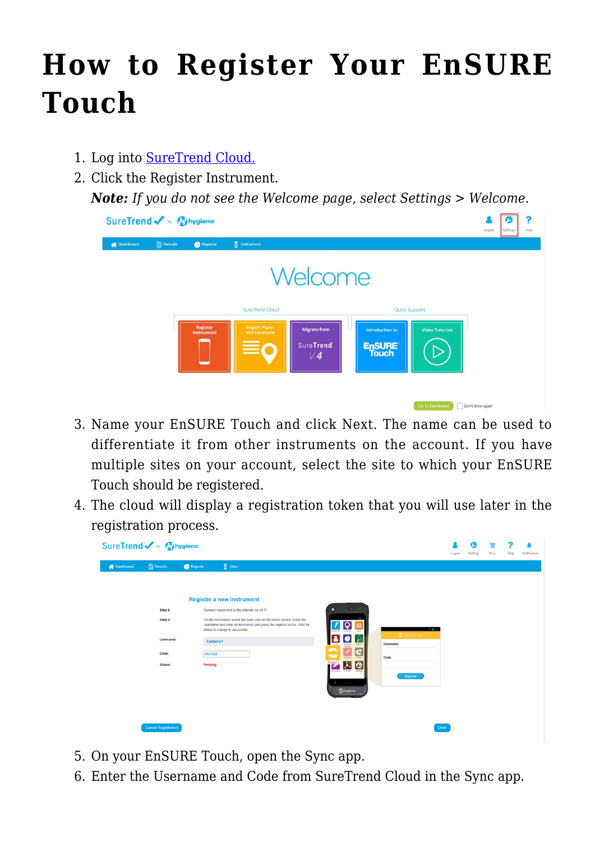## **[How to Register Your EnSURE](https://help.hygiena.com/kb-doc/registering/) [Touch](https://help.hygiena.com/kb-doc/registering/)**

- 1. Log into [SureTrend Cloud.](https://suretrend.hygiena.com/login)
- 2. Click the Register Instrument.

*Note: If you do not see the Welcome page, select Settings > Welcome.*

| SureTrend v by Mysiena |                  |                                      |                                                                                                                 | Logout<br>Settings<br>Help |
|------------------------|------------------|--------------------------------------|-----------------------------------------------------------------------------------------------------------------|----------------------------|
| A Dashboard            | <b>A</b> Results | Reports                              | <b>F</b> Instrument                                                                                             |                            |
|                        |                  |                                      | Welcome                                                                                                         |                            |
|                        |                  |                                      | SureTrend Cloud<br>Quick Support                                                                                |                            |
|                        |                  | <b>Register</b><br><b>Instrument</b> | <b>Import Plans</b><br><b>Migrate from</b><br><b>Video Tutorials</b><br><b>Introduction to</b><br>and Locations |                            |
|                        |                  |                                      | ≡<br><b>SureTrend</b><br><b>EnSURE</b><br>V.4                                                                   |                            |
|                        |                  |                                      |                                                                                                                 |                            |
|                        |                  |                                      |                                                                                                                 |                            |
|                        |                  |                                      | <b>Go To Dashboard</b>                                                                                          | Don't show again           |

- 3. Name your EnSURE Touch and click Next. The name can be used to differentiate it from other instruments on the account. If you have multiple sites on your account, select the site to which your EnSURE Touch should be registered.
- 4. The cloud will display a registration token that you will use later in the registration process.

|                    | SureTrend v by Mysiena     |         |                                                                                                                                                                                    |  |           |                           | Logout | 59<br>Settings | 囲<br>Store | 7<br>Help | Notifications |  |  |  |
|--------------------|----------------------------|---------|------------------------------------------------------------------------------------------------------------------------------------------------------------------------------------|--|-----------|---------------------------|--------|----------------|------------|-----------|---------------|--|--|--|
| <b>A</b> Dashboard | $\Box$ Results             | Reports | $\overline{\mathbf{B}}$ Sites                                                                                                                                                      |  |           |                           |        |                |            |           |               |  |  |  |
|                    |                            |         | <b>Register a new Instrument</b>                                                                                                                                                   |  |           |                           |        |                |            |           |               |  |  |  |
|                    | Step 2:                    |         | Connect Instrument to the Internet via Wi-Fi                                                                                                                                       |  | $\bullet$ |                           |        |                |            |           |               |  |  |  |
|                    | Step 3:                    |         | On the Instrument, select the Sync icon on the home screen. Enter the<br>Username and code on instrument and press the register button. Wait for<br>status to change to successful |  |           |                           |        | Register Unit  | 100113     |           |               |  |  |  |
|                    | Username:                  |         | Cadams1                                                                                                                                                                            |  |           |                           |        | Username       |            |           |               |  |  |  |
|                    | Code:                      |         | 0537332                                                                                                                                                                            |  | -         | $\blacksquare$            |        | Code           |            |           |               |  |  |  |
|                    | Status:                    |         | Pending                                                                                                                                                                            |  |           | $\mathbf{A}$              |        |                |            |           |               |  |  |  |
|                    |                            |         |                                                                                                                                                                                    |  | Mondown   | $\sim$<br><b>Whygiena</b> |        | Register       |            |           |               |  |  |  |
|                    |                            |         |                                                                                                                                                                                    |  |           |                           |        |                |            |           |               |  |  |  |
|                    | <b>Cancel Registration</b> |         |                                                                                                                                                                                    |  |           |                           |        |                | Done       |           |               |  |  |  |

- 5. On your EnSURE Touch, open the Sync app.
- 6. Enter the Username and Code from SureTrend Cloud in the Sync app.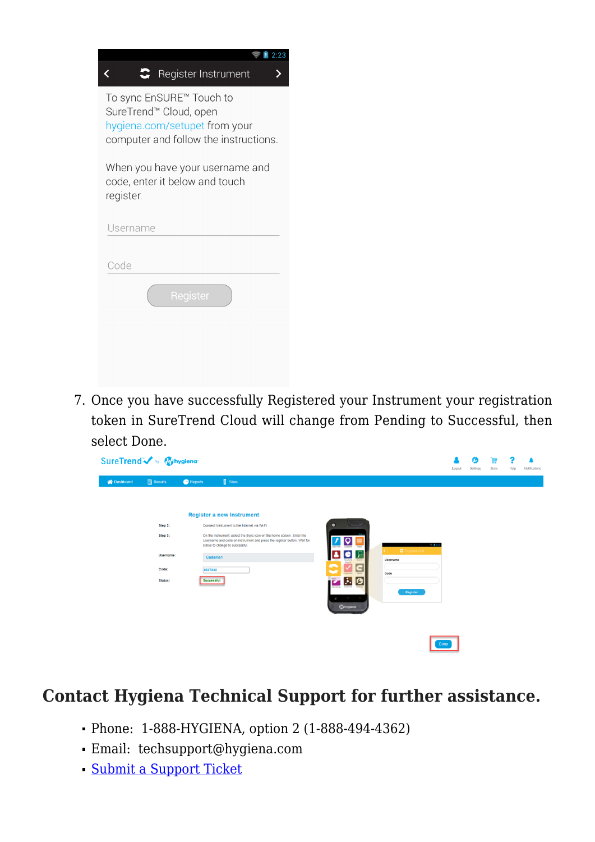| 2.23                                                                                                                         |
|------------------------------------------------------------------------------------------------------------------------------|
| $\bullet$ Register Instrument                                                                                                |
| To sync EnSURE™ Touch to<br>SureTrend™ Cloud, open<br>hygiena.com/setupet from your<br>computer and follow the instructions. |
| When you have your username and<br>code, enter it below and touch<br>register.                                               |
| Username                                                                                                                     |
|                                                                                                                              |
| Code                                                                                                                         |
| Register                                                                                                                     |
|                                                                                                                              |

7. Once you have successfully Registered your Instrument your registration token in SureTrend Cloud will change from Pending to Successful, then select Done.

|                    | SureTrend w My hygiena      |                                  |                                                                                                                                                                                    |                                                        |      |                                 | ø<br>Settings | 量<br>Store | Help | Notifications |  |
|--------------------|-----------------------------|----------------------------------|------------------------------------------------------------------------------------------------------------------------------------------------------------------------------------|--------------------------------------------------------|------|---------------------------------|---------------|------------|------|---------------|--|
| <b>谷</b> Dashboard | <b>A</b> Results<br>Step 2: | Reports                          | <b>B</b> Sites<br><b>Register a new Instrument</b><br>Connect Instrument to the Internet via Wi-Fi                                                                                 | $\bullet$                                              |      |                                 |               |            |      |               |  |
|                    | Step 3:<br>Username:        |                                  | On the Instrument, select the Sync icon on the home screen. Enter the<br>Username and code on instrument and press the register button. Wait for<br>status to change to successful | Locations<br>15                                        |      | @1420<br><b>C</b> Register Unit |               |            |      |               |  |
|                    | Code:<br>Status:            | Cadams1<br>0537332<br>Successful |                                                                                                                                                                                    | <b>Grants</b> &<br>5<br>E<br>þ.<br>Enzymes<br>Arendman | Code | Username                        |               |            |      |               |  |
|                    |                             |                                  |                                                                                                                                                                                    | <b>Whygiena</b>                                        |      | Register                        |               |            |      |               |  |
|                    |                             |                                  |                                                                                                                                                                                    |                                                        |      | Done                            |               |            |      |               |  |

#### **Contact Hygiena Technical Support for further assistance.**

- Phone: 1-888-HYGIENA, option 2 (1-888-494-4362)
- Email: techsupport@hygiena.com
- [Submit a Support Ticket](https://www.hygiena.com/technical-support-request-americas/)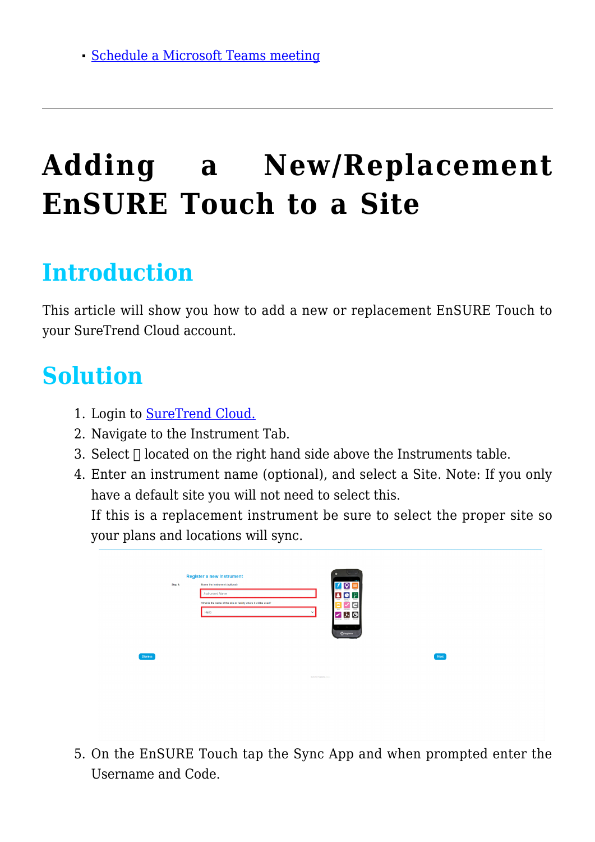# **[Adding a New/Replacement](https://help.hygiena.com/kb-doc/adding-a-new-replacement-ensure-touch-to-a-site/) [EnSURE Touch to a Site](https://help.hygiena.com/kb-doc/adding-a-new-replacement-ensure-touch-to-a-site/)**

### **Introduction**

This article will show you how to add a new or replacement EnSURE Touch to your SureTrend Cloud account.

### **Solution**

- 1. Login to [SureTrend Cloud.](https://suretrend.hygiena.com/#!/)
- 2. Navigate to the Instrument Tab.
- 3. Select  $\sqcap$  located on the right hand side above the Instruments table.
- 4. Enter an instrument name (optional), and select a Site. Note: If you only have a default site you will not need to select this.

If this is a replacement instrument be sure to select the proper site so your plans and locations will sync.

|                | Step 1: | <b>Register a new Instrument</b><br>Name the instrument (optional) | $\bullet$                                 |      |
|----------------|---------|--------------------------------------------------------------------|-------------------------------------------|------|
|                |         | <b>Instrument Name</b>                                             | ê<br>٠                                    |      |
|                |         | What is the name of the site or facility where it will be used?    | <b><i><u>kouts</u></i></b><br>đ<br>$\sim$ |      |
|                |         | Hello<br>×.                                                        | 전시<br>ø                                   |      |
|                |         |                                                                    | $\sim$<br>Gittegland                      |      |
|                |         |                                                                    |                                           |      |
| <b>Dismiss</b> |         |                                                                    |                                           | Next |
|                |         |                                                                    |                                           |      |
|                |         |                                                                    | 02020 Hygiena, LLC                        |      |
|                |         |                                                                    |                                           |      |
|                |         |                                                                    |                                           |      |
|                |         |                                                                    |                                           |      |

5. On the EnSURE Touch tap the Sync App and when prompted enter the Username and Code.